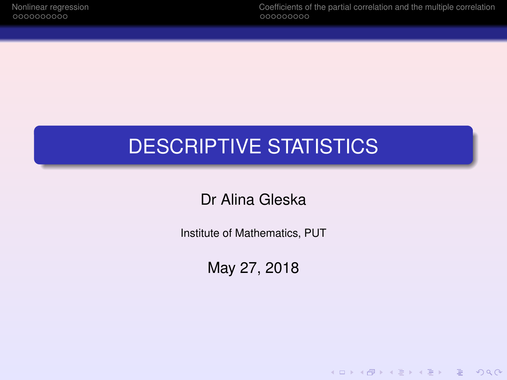[Nonlinear regression](#page-2-0) [Coefficients of the partial correlation and the multiple correlation](#page-13-0)

K ロ ▶ K @ ▶ K 할 ▶ K 할 ▶ | 할 | © Q Q @

## DESCRIPTIVE STATISTICS

Dr Alina Gleska

Institute of Mathematics, PUT

May 27, 2018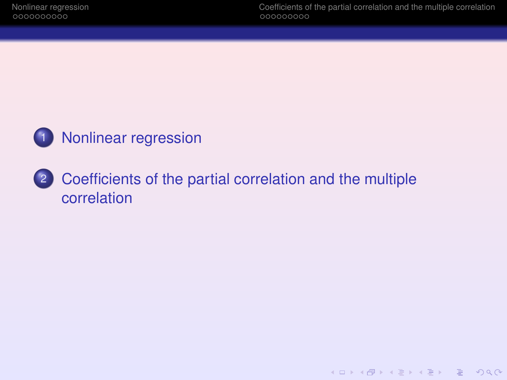

## 2 [Coefficients of the partial correlation and the multiple](#page-13-0) [correlation](#page-13-0)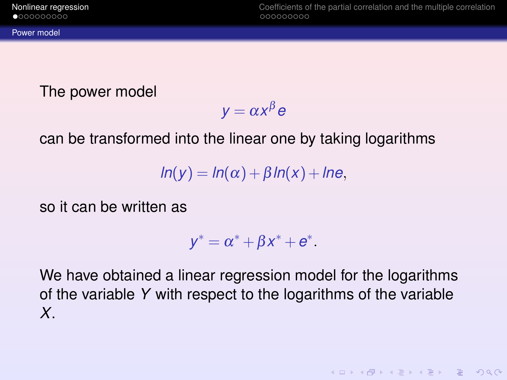[Power model](#page-2-0)

<span id="page-2-0"></span>[Nonlinear regression](#page-2-0) [Coefficients of the partial correlation and the multiple correlation](#page-13-0)

**KOD KAD KED KED E VAN** 

The power model

$$
y = \alpha x^{\beta} e
$$

can be transformed into the linear one by taking logarithms

 $ln(y) = ln(\alpha) + \beta ln(x) + ln\theta$ 

so it can be written as

$$
y^* = \alpha^* + \beta x^* + e^*.
$$

We have obtained a linear regression model for the logarithms of the variable *Y* with respect to the logarithms of the variable *X*.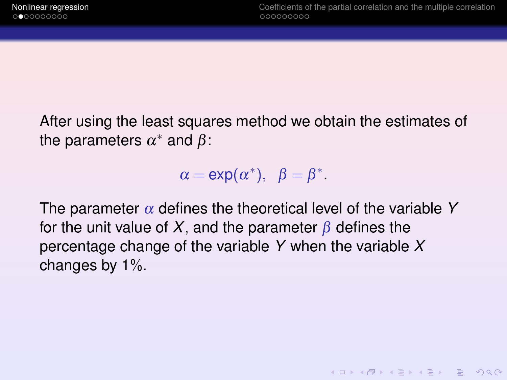After using the least squares method we obtain the estimates of the parameters  $\alpha^*$  and  $\beta$ :

 $\alpha = \exp(\alpha^*), \ \ \beta = \beta^*.$ 

The parameter  $\alpha$  defines the theoretical level of the variable Y for the unit value of *X*, and the parameter  $\beta$  defines the percentage change of the variable *Y* when the variable *X* changes by 1%.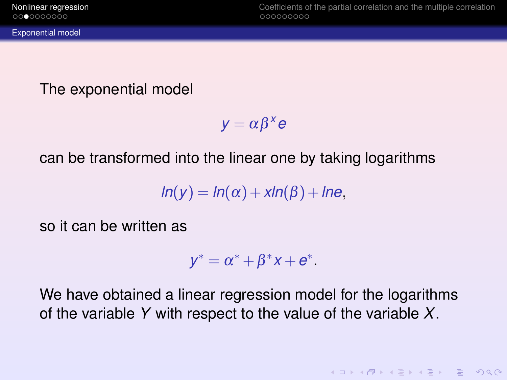<span id="page-4-0"></span>The exponential model

 $y = \alpha \beta^x e$ 

can be transformed into the linear one by taking logarithms

 $ln(y) = ln(\alpha) + \frac{xln(\beta) + ln\epsilon}{\beta}$ 

so it can be written as

$$
y^* = \alpha^* + \beta^* x + e^*.
$$

We have obtained a linear regression model for the logarithms of the variable *Y* with respect to the value of the variable *X*.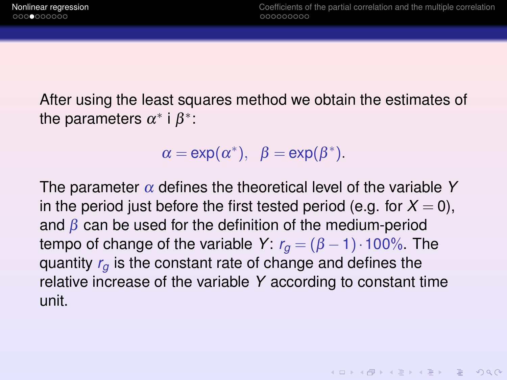After using the least squares method we obtain the estimates of the parameters  $\alpha^*$  i  $\beta^*$ :

$$
\alpha = \exp(\alpha^*), \ \beta = \exp(\beta^*).
$$

The parameter  $\alpha$  defines the theoretical level of the variable Y in the period just before the first tested period (e.g. for  $X = 0$ ), and  $\beta$  can be used for the definition of the medium-period tempo of change of the variable *Y*:  $r_q = (\beta - 1) \cdot 100\%$ . The quantity *r<sup>g</sup>* is the constant rate of change and defines the relative increase of the variable *Y* according to constant time unit.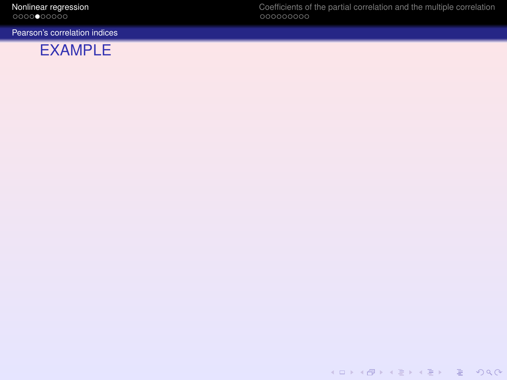<span id="page-6-0"></span>

[Pearson's correlation indices](#page-6-0)



[Nonlinear regression](#page-2-0) [Coefficients of the partial correlation and the multiple correlation](#page-13-0)

KID KARA KE KAEK LE YO QO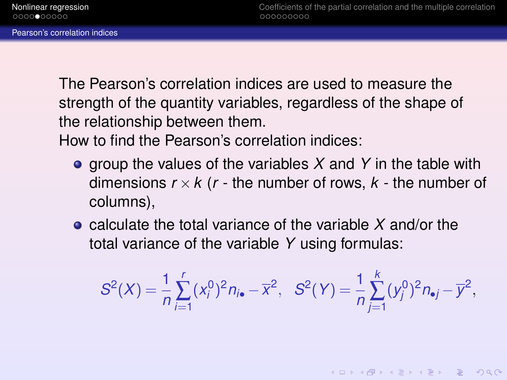<span id="page-7-0"></span>The Pearson's correlation indices are used to measure the strength of the quantity variables, regardless of the shape of the relationship between them.

How to find the Pearson's correlation indices:

- **o** group the values of the variables X and Y in the table with dimensions  $r \times k$  ( $r$  - the number of rows,  $k$  - the number of columns),
- calculate the total variance of the variable *X* and/or the total variance of the variable *Y* using formulas:

$$
S^{2}(X) = \frac{1}{n} \sum_{i=1}^{r} (x_{i}^{0})^{2} n_{i\bullet} - \overline{x}^{2}, \quad S^{2}(Y) = \frac{1}{n} \sum_{j=1}^{k} (y_{j}^{0})^{2} n_{\bullet j} - \overline{y}^{2},
$$

**KOD KARD KED KED DAR**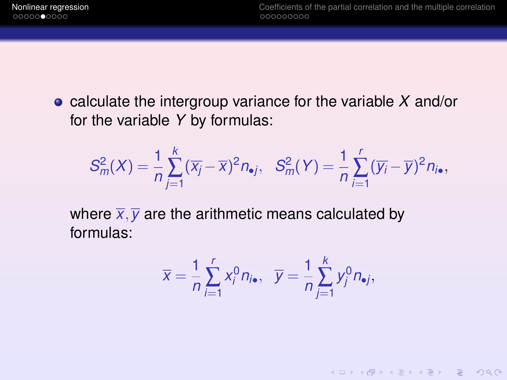calculate the intergroup variance for the variable *X* and/or for the variable *Y* by formulas:

$$
S_m^2(X)=\frac{1}{n}\sum_{j=1}^k(\overline{x_j}-\overline{x})^2n_{\bullet j},\quad S_m^2(Y)=\frac{1}{n}\sum_{i=1}^r(\overline{y_i}-\overline{y})^2n_{j\bullet},
$$

where  $\overline{x}, \overline{y}$  are the arithmetic means calculated by formulas:

$$
\overline{x} = \frac{1}{n} \sum_{i=1}^r x_i^0 n_{i\bullet}, \quad \overline{y} = \frac{1}{n} \sum_{j=1}^k y_j^0 n_{\bullet j},
$$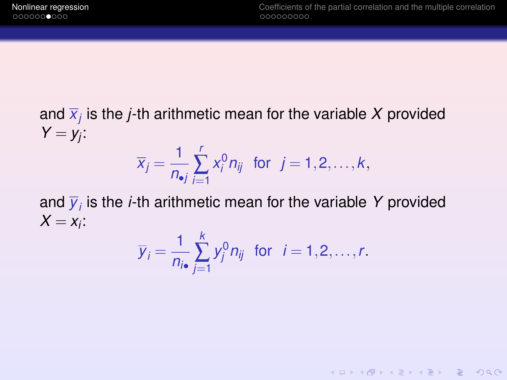and *x<sup>j</sup>* is the *j*-th arithmetic mean for the variable *X* provided  $Y = y_j$ :  $\overline{x}_j = \frac{1}{n}$ *r* ∑ *i*=1  $x_i^0 n_{ij}$  for  $j = 1, 2, ..., k$ ,

and  $\overline{y}_i$  is the *i*-th arithmetic mean for the variable Y provided  $X = x_i$ :

*n*•*j*

$$
\overline{y}_i = \frac{1}{n_{i\bullet}} \sum_{j=1}^k y_j^0 n_{ij} \text{ for } i = 1, 2, \ldots, r.
$$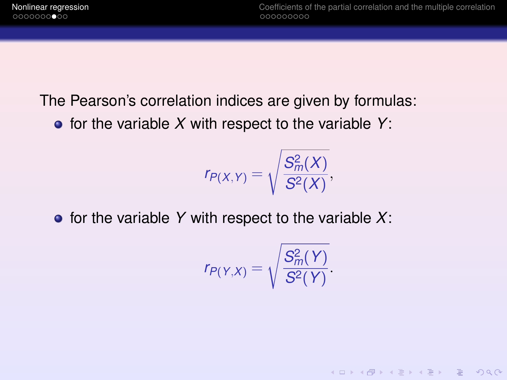The Pearson's correlation indices are given by formulas:

 $\bullet$  for the variable *X* with respect to the variable *Y*:

$$
r_{P(X,Y)}=\sqrt{\frac{S_m^2(X)}{S^2(X)}},
$$

 $\bullet$  for the variable Y with respect to the variable X:

$$
r_{P(Y,X)}=\sqrt{\frac{S_m^2(Y)}{S^2(Y)}}.
$$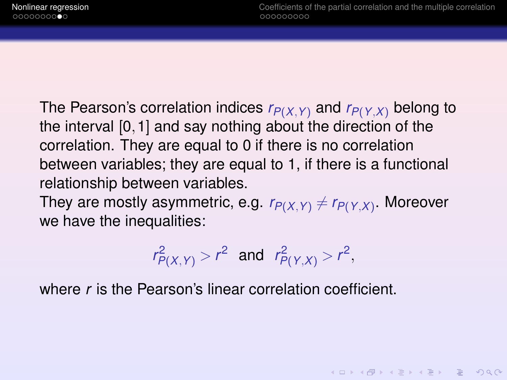**KORKAR KERKER E VOOR** 

The Pearson's correlation indices *rP*(*X*,*Y*) and *rP*(*Y*,*X*) belong to the interval [0,1] and say nothing about the direction of the correlation. They are equal to 0 if there is no correlation between variables; they are equal to 1, if there is a functional relationship between variables.

They are mostly asymmetric, e.g.  $r_{P(X,Y)} \neq r_{P(Y,X)}$ . Moreover we have the inequalities:

$$
r_{P(X,Y)}^2 > r^2
$$
 and  $r_{P(Y,X)}^2 > r^2$ ,

where *r* is the Pearson's linear correlation coefficient.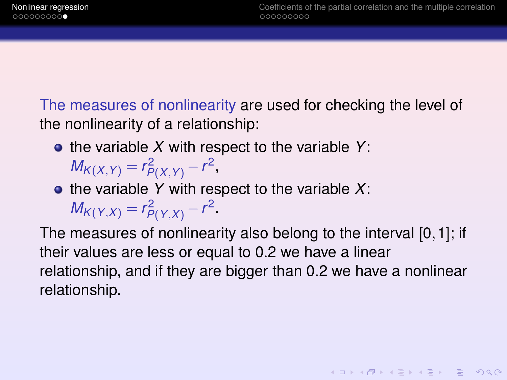**KOD KAD KED KED E VOOR** 

The measures of nonlinearity are used for checking the level of the nonlinearity of a relationship:

- the variable *X* with respect to the variable *Y*: *M*<sub>*K*(*X*,*Y*) =  $r_{P(X,Y)}^2 - r^2$ ,</sub>
- $\bullet$  the variable Y with respect to the variable X: *M*<sub>*K*(*Y*,*X*) =  $r_{P(Y,X)}^2 - r^2$ .</sub>

The measures of nonlinearity also belong to the interval [0,1]; if their values are less or equal to 0.2 we have a linear relationship, and if they are bigger than 0.2 we have a nonlinear relationship.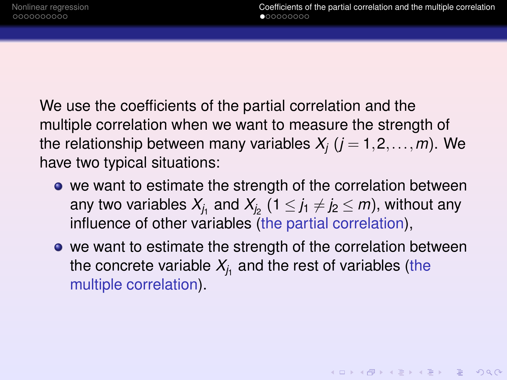<span id="page-13-0"></span>We use the coefficients of the partial correlation and the multiple correlation when we want to measure the strength of the relationship between many variables  $X_i$  ( $j = 1, 2, ..., m$ ). We have two typical situations:

- we want to estimate the strength of the correlation between any two variables  $X_{j_1}$  and  $X_{j_2}$  (1  $\leq$  *j*1  $\neq$  *j*2  $\leq$  *m*), without any influence of other variables (the partial correlation),
- we want to estimate the strength of the correlation between the concrete variable  $\mathcal{X}_{j_1}$  and the rest of variables (the multiple correlation).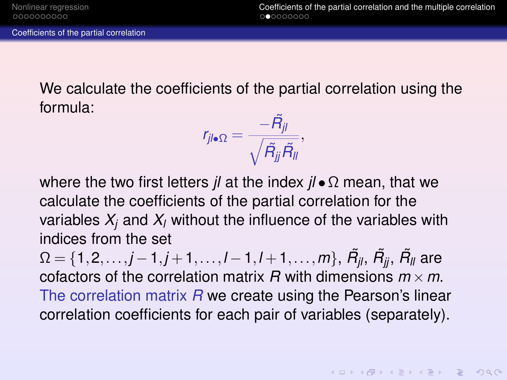<span id="page-14-0"></span>We calculate the coefficients of the partial correlation using the formula:

$$
r_{jl\bullet\Omega}=\frac{-\tilde{R}_{jl}}{\sqrt{\tilde{R}_{jj}\tilde{R}_{ll}}},
$$

where the two first letters *jl* at the index *jl* •Ω mean, that we calculate the coefficients of the partial correlation for the variables  $X_i$  and  $X_i$  without the influence of the variables with indices from the set

 $Ω = {1,2,...,j-1,j+1,...,l-1,l+1,...,m}, \ \tilde{R_{jl}}, \ \tilde{R_{jj}}, \ \tilde{R_{ll}}$  are cofactors of the correlation matrix  $R$  with dimensions  $m \times m$ . The correlation matrix *R* we create using the Pearson's linear correlation coefficients for each pair of variables (separately).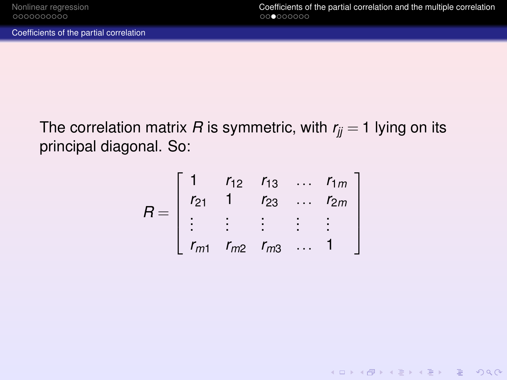<span id="page-15-0"></span>[Coefficients of the partial correlation](#page-15-0)

The correlation matrix *R* is symmetric, with  $r_{ij} = 1$  lying on its principal diagonal. So:

$$
R = \left[ \begin{array}{ccccc} 1 & r_{12} & r_{13} & \dots & r_{1m} \\ r_{21} & 1 & r_{23} & \dots & r_{2m} \\ \vdots & \vdots & \vdots & \vdots & \vdots \\ r_{m1} & r_{m2} & r_{m3} & \dots & 1 \end{array} \right]
$$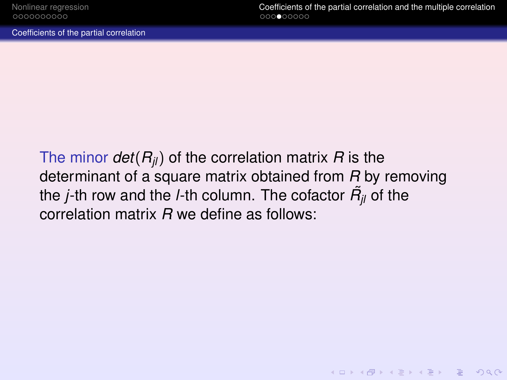**KOD CONTRACT A BOARD OF A GOV** 

<span id="page-16-0"></span>[Coefficients of the partial correlation](#page-16-0)

The minor  $det(R_{ij})$  of the correlation matrix *R* is the determinant of a square matrix obtained from *R* by removing the *j*-th row and the *l*-th column. The cofactor  $\tilde{R_{jl}}$  of the correlation matrix *R* we define as follows: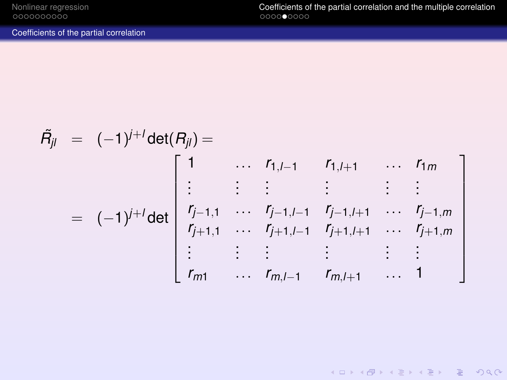<span id="page-17-0"></span>[Nonlinear regression](#page-2-0) **[Coefficients of the partial correlation and the multiple correlation](#page-13-0)**<br>  $0000000000$ 

K ロ K K 日 X K ミ X K E X H E X Y Q Q O

[Coefficients of the partial correlation](#page-17-0)

$$
\tilde{H}_{jl} = (-1)^{j+l} \det(R_{jl}) = \begin{bmatrix} 1 & \cdots & r_{1,l-1} & r_{1,l+1} & \cdots & r_{1m} \\ \vdots & \vdots & \vdots & \vdots & \vdots & \vdots \\ r_{j-1,1} & \cdots & r_{j-1,l-1} & r_{j-1,l+1} & \cdots & r_{j-1,m} \\ r_{j+1,1} & \cdots & r_{j+1,l-1} & r_{j+1,l+1} & \cdots & r_{j+1,m} \\ \vdots & \vdots & \vdots & \vdots & \vdots & \vdots \\ r_{m1} & \cdots & r_{m,l-1} & r_{m,l+1} & \cdots & 1 \end{bmatrix}
$$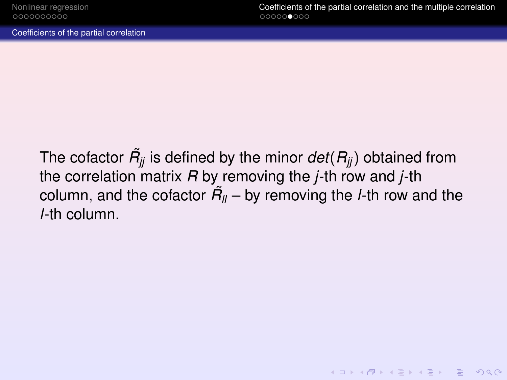<span id="page-18-0"></span>[Coefficients of the partial correlation](#page-18-0)

The cofactor  $\tilde{R_{jj}}$  is defined by the minor  $det(R_{jj})$  obtained from the correlation matrix *R* by removing the *j*-th row and *j*-th column, and the cofactor  $\tilde{H_{ll}}$  – by removing the *l*-th row and the *l*-th column.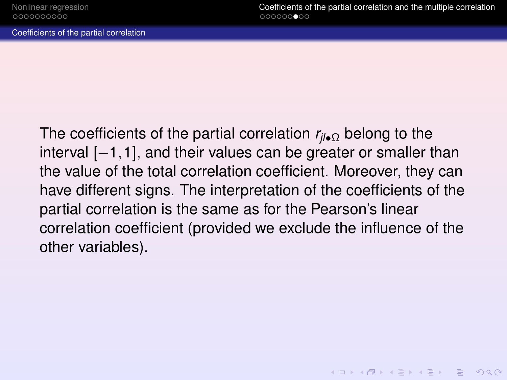<span id="page-19-0"></span>[Coefficients of the partial correlation](#page-19-0)

The coefficients of the partial correlation *rjl*•<sup>Ω</sup> belong to the interval  $[-1,1]$ , and their values can be greater or smaller than the value of the total correlation coefficient. Moreover, they can have different signs. The interpretation of the coefficients of the partial correlation is the same as for the Pearson's linear correlation coefficient (provided we exclude the influence of the other variables).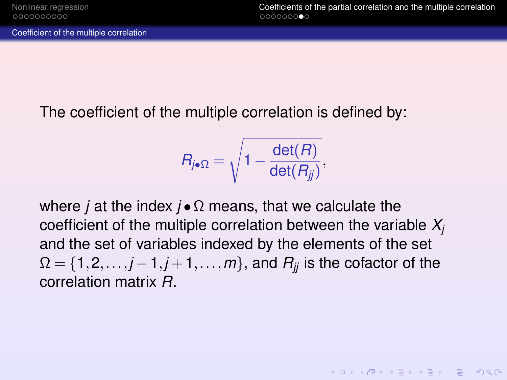<span id="page-20-0"></span>[Coefficient of the multiple correlation](#page-20-0)

The coefficient of the multiple correlation is defined by:

$$
R_{j\bullet\Omega}=\sqrt{1-\frac{\det(R)}{\det(R_{jj})}},
$$

where *j* at the index *j* •Ω means, that we calculate the coefficient of the multiple correlation between the variable *X<sup>j</sup>* and the set of variables indexed by the elements of the set  $\Omega = \{1, 2, \ldots, j-1, j+1, \ldots, m\}$ , and  $R_{ij}$  is the cofactor of the correlation matrix *R*.